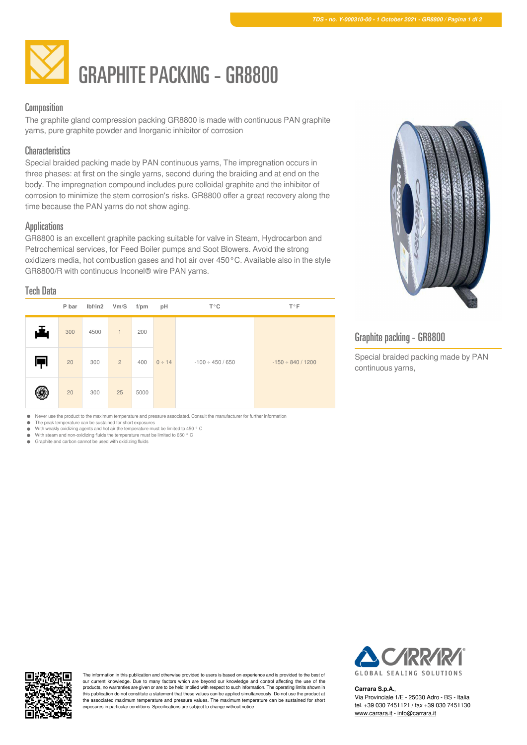

## Composition

The graphite gland compression packing GR8800 is made with continuous PAN graphite yarns, pure graphite powder and Inorganic inhibitor of corrosion

#### **Characteristics**

Special braided packing made by PAN continuous yarns, The impregnation occurs in three phases: at first on the single yarns, second during the braiding and at end on the body. The impregnation compound includes pure colloidal graphite and the inhibitor of corrosion to minimize the stem corrosion's risks. GR8800 offer a great recovery along the time because the PAN yarns do not show aging.

### **Applications**

GR8800 is an excellent graphite packing suitable for valve in Steam, Hydrocarbon and Petrochemical services, for Feed Boiler pumps and Soot Blowers. Avoid the strong oxidizers media, hot combustion gases and hot air over 450°C. Available also in the style GR8800/R with continuous Inconel® wire PAN yarns.

### Tech Data

|    | P bar | lbf/in2 | Vm/S           | $f$ /pm | pH          | $T^{\circ}C$          | $T^{\circ}F$           |  |  |
|----|-------|---------|----------------|---------|-------------|-----------------------|------------------------|--|--|
| J. | 300   | 4500    | $\mathbf{1}$   | 200     |             |                       |                        |  |  |
| Æ  | 20    | 300     | $\overline{2}$ | 400     | $0 \div 14$ | $-100 \div 450 / 650$ | $-150 \div 840 / 1200$ |  |  |
|    | 20    | 300     | 25             | 5000    |             |                       |                        |  |  |



# Graphite packing - GR8800

Special braided packing made by PAN continuous yarns,

Never use the product to the maximum temperature and pressure associated. Consult the manufacturer for further information

The peak temperature can be sustained for short exposures  $\bullet$ 

 $\ddot{\phantom{1}}$ With weakly oxidizing agents and hot air the temperature must be limited to 450 °C With steam and non-oxidizing fluids the temperature must be limited to 650 ° C  $\bullet$ 

Graphite and carbon cannot be used with oxidizing fluids



The information in this publication and otherwise provided to users is based on experience and is provided to the best of our current knowledge. Due to many factors which are beyond our knowledge and control affecting the use of the products, no warranties are given or are to be held implied with respect to such information. The operating limits shown in this publication do not constitute a statement that these values can be applied simultaneously. Do not use the product at the associated maximum temperature and pressure values. The maximum temperature can be sustained for short exposures in particular conditions. Specifications are subject to change without notice.



#### **Carrara S.p.A.**,

Via Provinciale 1/E - 25030 Adro - BS - Italia tel. +39 030 7451121 / fax +39 030 7451130 [www.carrara.it](https://www.carrara.it) - [info@carrara.it](mailto:info@carrara.it)